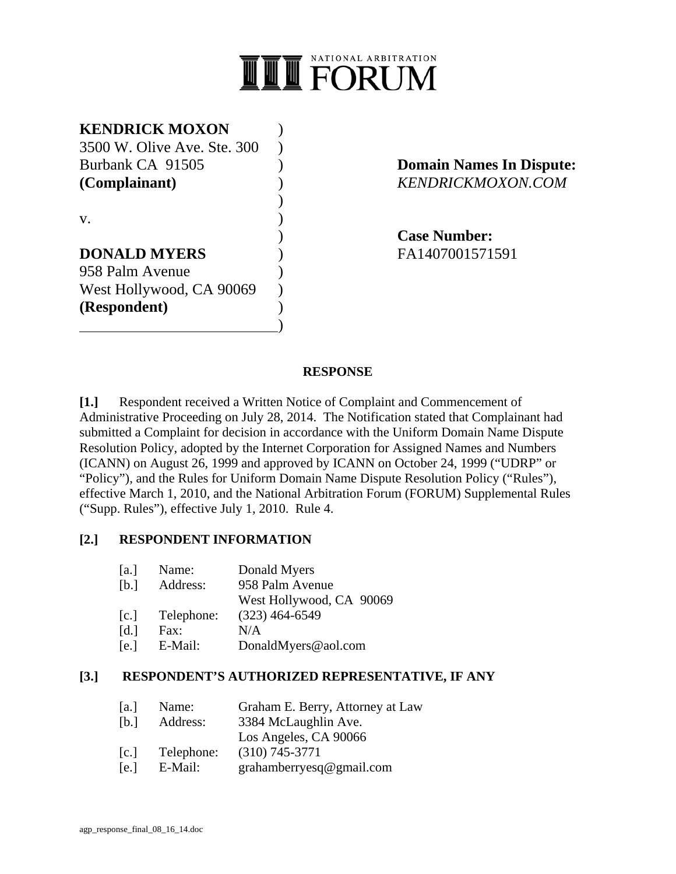

# **KENDRICK MOXON** )

3500 W. Olive Ave. Ste. 300 ) Burbank CA 91505 ) **Domain Names In Dispute: (Complainant)** ) *KENDRICKMOXON.COM*  $\overline{\phantom{a}}$ 

 $\mathbf{v}$ .  $\qquad \qquad$  )

# **DONALD MYERS** (FA1407001571591) 958 Palm Avenue ) West Hollywood, CA 90069

 $\qquad \qquad \qquad$ 

**(Respondent)** )

) **Case Number:**

#### **RESPONSE**

**[1.]** Respondent received a Written Notice of Complaint and Commencement of Administrative Proceeding on July 28, 2014. The Notification stated that Complainant had submitted a Complaint for decision in accordance with the Uniform Domain Name Dispute Resolution Policy, adopted by the Internet Corporation for Assigned Names and Numbers (ICANN) on August 26, 1999 and approved by ICANN on October 24, 1999 ("UDRP" or "Policy"), and the Rules for Uniform Domain Name Dispute Resolution Policy ("Rules"), effective March 1, 2010, and the National Arbitration Forum (FORUM) Supplemental Rules ("Supp. Rules"), effective July 1, 2010. Rule 4.

#### **[2.] RESPONDENT INFORMATION**

| a                  | Name:      | Donald Myers             |
|--------------------|------------|--------------------------|
| [b,1]              | Address:   | 958 Palm Avenue          |
|                    |            | West Hollywood, CA 90069 |
| c                  | Telephone: | $(323)$ 464-6549         |
| $\lceil d. \rceil$ | Fax:       | N/A                      |
| [e.]               | E-Mail:    | DonaldMyers@aol.com      |
|                    |            |                          |

#### **[3.] RESPONDENT'S AUTHORIZED REPRESENTATIVE, IF ANY**

- [a.] Name: Graham E. Berry, Attorney at Law
- [b.] Address: 3384 McLaughlin Ave.
- Los Angeles, CA 90066
- [c.] Telephone: (310) 745-3771
- [e.] E-Mail: grahamberryesq@gmail.com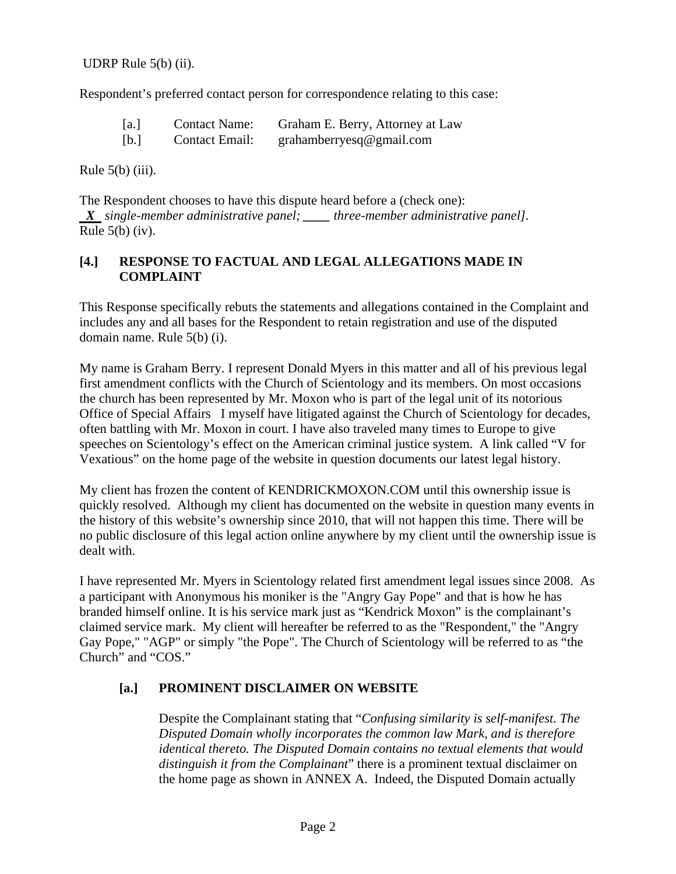UDRP Rule 5(b) (ii).

Respondent's preferred contact person for correspondence relating to this case:

| [a.] | <b>Contact Name:</b> | Graham E. Berry, Attorney at Law |
|------|----------------------|----------------------------------|
| [b.] | Contact Email:       | grahamberryesq@gmail.com         |

Rule  $5(b)$  (iii).

The Respondent chooses to have this dispute heard before a (check one):  *X single-member administrative panel; \_\_\_\_ three-member administrative panel].*  Rule  $5(b)$  (iv).

#### **[4.] RESPONSE TO FACTUAL AND LEGAL ALLEGATIONS MADE IN COMPLAINT**

This Response specifically rebuts the statements and allegations contained in the Complaint and includes any and all bases for the Respondent to retain registration and use of the disputed domain name. Rule 5(b) (i).

My name is Graham Berry. I represent Donald Myers in this matter and all of his previous legal first amendment conflicts with the Church of Scientology and its members. On most occasions the church has been represented by Mr. Moxon who is part of the legal unit of its notorious Office of Special Affairs I myself have litigated against the Church of Scientology for decades, often battling with Mr. Moxon in court. I have also traveled many times to Europe to give speeches on Scientology's effect on the American criminal justice system. A link called "V for Vexatious" on the home page of the website in question documents our latest legal history.

My client has frozen the content of KENDRICKMOXON.COM until this ownership issue is quickly resolved. Although my client has documented on the website in question many events in the history of this website's ownership since 2010, that will not happen this time. There will be no public disclosure of this legal action online anywhere by my client until the ownership issue is dealt with.

I have represented Mr. Myers in Scientology related first amendment legal issues since 2008. As a participant with Anonymous his moniker is the "Angry Gay Pope" and that is how he has branded himself online. It is his service mark just as "Kendrick Moxon" is the complainant's claimed service mark. My client will hereafter be referred to as the "Respondent," the "Angry Gay Pope," "AGP" or simply "the Pope". The Church of Scientology will be referred to as "the Church" and "COS."

#### **[a.] PROMINENT DISCLAIMER ON WEBSITE**

 Despite the Complainant stating that "*Confusing similarity is self-manifest. The Disputed Domain wholly incorporates the common law Mark, and is therefore identical thereto. The Disputed Domain contains no textual elements that would distinguish it from the Complainant*" there is a prominent textual disclaimer on the home page as shown in ANNEX A. Indeed, the Disputed Domain actually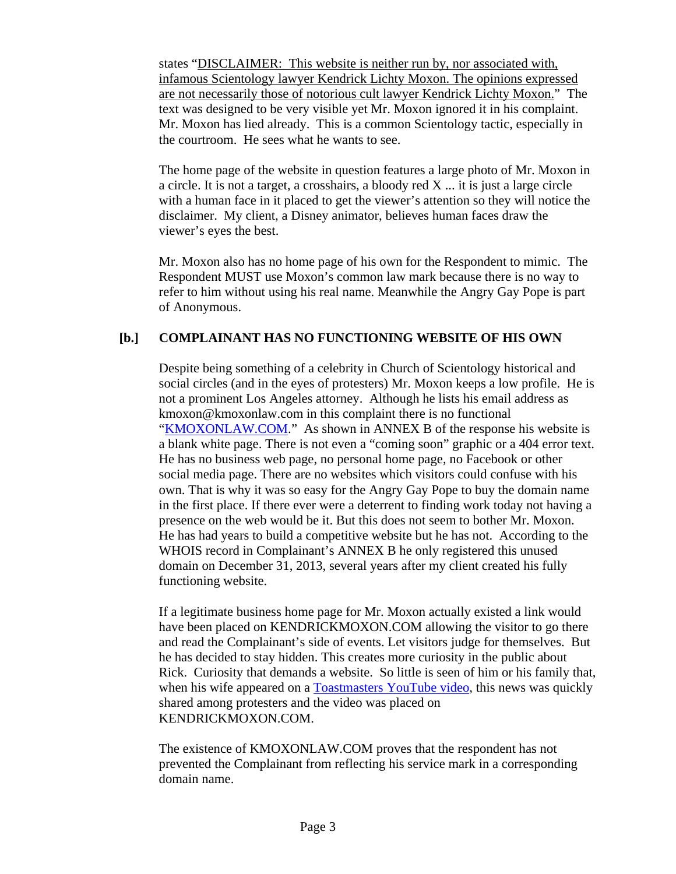states "DISCLAIMER: This website is neither run by, nor associated with, infamous Scientology lawyer Kendrick Lichty Moxon. The opinions expressed are not necessarily those of notorious cult lawyer Kendrick Lichty Moxon." The text was designed to be very visible yet Mr. Moxon ignored it in his complaint. Mr. Moxon has lied already. This is a common Scientology tactic, especially in the courtroom. He sees what he wants to see.

 The home page of the website in question features a large photo of Mr. Moxon in a circle. It is not a target, a crosshairs, a bloody red X ... it is just a large circle with a human face in it placed to get the viewer's attention so they will notice the disclaimer. My client, a Disney animator, believes human faces draw the viewer's eyes the best.

 Mr. Moxon also has no home page of his own for the Respondent to mimic. The Respondent MUST use Moxon's common law mark because there is no way to refer to him without using his real name. Meanwhile the Angry Gay Pope is part of Anonymous.

# **[b.] COMPLAINANT HAS NO FUNCTIONING WEBSITE OF HIS OWN**

 Despite being something of a celebrity in Church of Scientology historical and social circles (and in the eyes of protesters) Mr. Moxon keeps a low profile. He is not a prominent Los Angeles attorney. Although he lists his email address as kmoxon@kmoxonlaw.com in this complaint there is no functional "KMOXONLAW.COM." As shown in ANNEX B of the response his website is a blank white page. There is not even a "coming soon" graphic or a 404 error text. He has no business web page, no personal home page, no Facebook or other social media page. There are no websites which visitors could confuse with his own. That is why it was so easy for the Angry Gay Pope to buy the domain name in the first place. If there ever were a deterrent to finding work today not having a presence on the web would be it. But this does not seem to bother Mr. Moxon. He has had years to build a competitive website but he has not. According to the WHOIS record in Complainant's ANNEX B he only registered this unused domain on December 31, 2013, several years after my client created his fully functioning website.

 If a legitimate business home page for Mr. Moxon actually existed a link would have been placed on KENDRICKMOXON.COM allowing the visitor to go there and read the Complainant's side of events. Let visitors judge for themselves. But he has decided to stay hidden. This creates more curiosity in the public about Rick. Curiosity that demands a website. So little is seen of him or his family that, when his wife appeared on a Toastmasters YouTube video, this news was quickly shared among protesters and the video was placed on KENDRICKMOXON.COM.

 The existence of KMOXONLAW.COM proves that the respondent has not prevented the Complainant from reflecting his service mark in a corresponding domain name.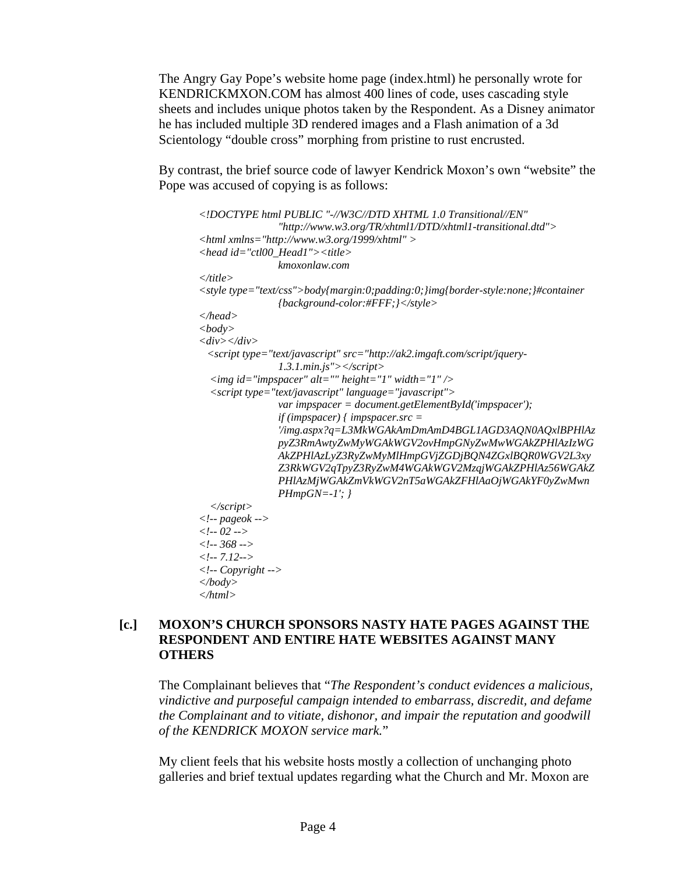The Angry Gay Pope's website home page (index.html) he personally wrote for KENDRICKMXON.COM has almost 400 lines of code, uses cascading style sheets and includes unique photos taken by the Respondent. As a Disney animator he has included multiple 3D rendered images and a Flash animation of a 3d Scientology "double cross" morphing from pristine to rust encrusted.

By contrast, the brief source code of lawyer Kendrick Moxon's own "website" the Pope was accused of copying is as follows:

```
<!DOCTYPE html PUBLIC "-//W3C//DTD XHTML 1.0 Transitional//EN" 
                "http://www.w3.org/TR/xhtml1/DTD/xhtml1-transitional.dtd"> 
<html xmlns="http://www.w3.org/1999/xhtml" > 
<head id="ctl00_Head1"><title> 
                kmoxonlaw.com 
</title> 
<style type="text/css">body{margin:0;padding:0;}img{border-style:none;}#container 
               {background-color:#FFF;}</style> 
</head> 
<body> 
<div></div> 
  <script type="text/javascript" src="http://ak2.imgaft.com/script/jquery-
               1.3.1.min.js"></script> 
   <img id="impspacer" alt="" height="1" width="1" /> 
   <script type="text/javascript" language="javascript"> 
                var impspacer = document.getElementById('impspacer'); 
                if (impspacer) { impspacer.src = 
                '/img.aspx?q=L3MkWGAkAmDmAmD4BGL1AGD3AQN0AQxlBPHlAz
               pyZ3RmAwtyZwMyWGAkWGV2ovHmpGNyZwMwWGAkZPHlAzIzWG
               AkZPHlAzLyZ3RyZwMyMlHmpGVjZGDjBQN4ZGxlBQR0WGV2L3xy
               Z3RkWGV2qTpyZ3RyZwM4WGAkWGV2MzqjWGAkZPHlAz56WGAkZ
               PHlAzMjWGAkZmVkWGV2nT5aWGAkZFHlAaOjWGAkYF0yZwMwn
               PHmpGN=-1'; } 
   </script> 
<!-- pageok --> 
<!-- 02 --> 
<!-- 368 --> 
<!-- 7.12--> 
<!-- Copyright --> 
</body> 
</html>
```
#### **[c.] MOXON'S CHURCH SPONSORS NASTY HATE PAGES AGAINST THE RESPONDENT AND ENTIRE HATE WEBSITES AGAINST MANY OTHERS**

 The Complainant believes that "*The Respondent's conduct evidences a malicious, vindictive and purposeful campaign intended to embarrass, discredit, and defame the Complainant and to vitiate, dishonor, and impair the reputation and goodwill of the KENDRICK MOXON service mark.*"

 My client feels that his website hosts mostly a collection of unchanging photo galleries and brief textual updates regarding what the Church and Mr. Moxon are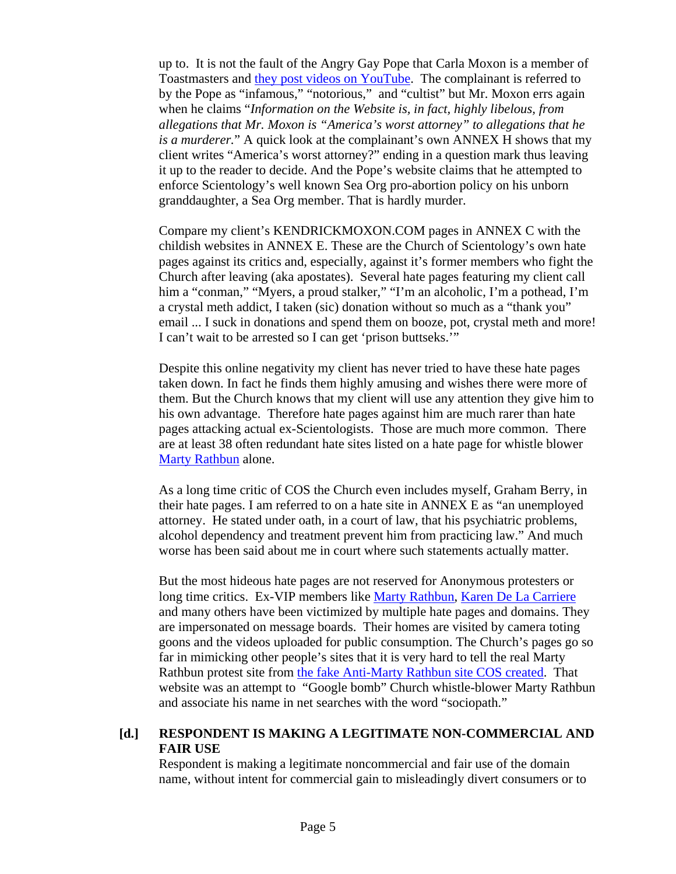up to. It is not the fault of the Angry Gay Pope that Carla Moxon is a member of Toastmasters and they post videos on YouTube. The complainant is referred to by the Pope as "infamous," "notorious," and "cultist" but Mr. Moxon errs again when he claims "*Information on the Website is, in fact, highly libelous, from allegations that Mr. Moxon is "America's worst attorney" to allegations that he is a murderer.*" A quick look at the complainant's own ANNEX H shows that my client writes "America's worst attorney?" ending in a question mark thus leaving it up to the reader to decide. And the Pope's website claims that he attempted to enforce Scientology's well known Sea Org pro-abortion policy on his unborn granddaughter, a Sea Org member. That is hardly murder.

 Compare my client's KENDRICKMOXON.COM pages in ANNEX C with the childish websites in ANNEX E. These are the Church of Scientology's own hate pages against its critics and, especially, against it's former members who fight the Church after leaving (aka apostates). Several hate pages featuring my client call him a "conman," "Myers, a proud stalker," "I'm an alcoholic, I'm a pothead, I'm a crystal meth addict, I taken (sic) donation without so much as a "thank you" email ... I suck in donations and spend them on booze, pot, crystal meth and more! I can't wait to be arrested so I can get 'prison buttseks.'"

 Despite this online negativity my client has never tried to have these hate pages taken down. In fact he finds them highly amusing and wishes there were more of them. But the Church knows that my client will use any attention they give him to his own advantage. Therefore hate pages against him are much rarer than hate pages attacking actual ex-Scientologists. Those are much more common. There are at least 38 often redundant hate sites listed on a hate page for whistle blower Marty Rathbun alone.

 As a long time critic of COS the Church even includes myself, Graham Berry, in their hate pages. I am referred to on a hate site in ANNEX E as "an unemployed attorney. He stated under oath, in a court of law, that his psychiatric problems, alcohol dependency and treatment prevent him from practicing law." And much worse has been said about me in court where such statements actually matter.

 But the most hideous hate pages are not reserved for Anonymous protesters or long time critics. Ex-VIP members like Marty Rathbun, Karen De La Carriere and many others have been victimized by multiple hate pages and domains. They are impersonated on message boards. Their homes are visited by camera toting goons and the videos uploaded for public consumption. The Church's pages go so far in mimicking other people's sites that it is very hard to tell the real Marty Rathbun protest site from the fake Anti-Marty Rathbun site COS created. That website was an attempt to "Google bomb" Church whistle-blower Marty Rathbun and associate his name in net searches with the word "sociopath."

#### **[d.] RESPONDENT IS MAKING A LEGITIMATE NON-COMMERCIAL AND FAIR USE**

 Respondent is making a legitimate noncommercial and fair use of the domain name, without intent for commercial gain to misleadingly divert consumers or to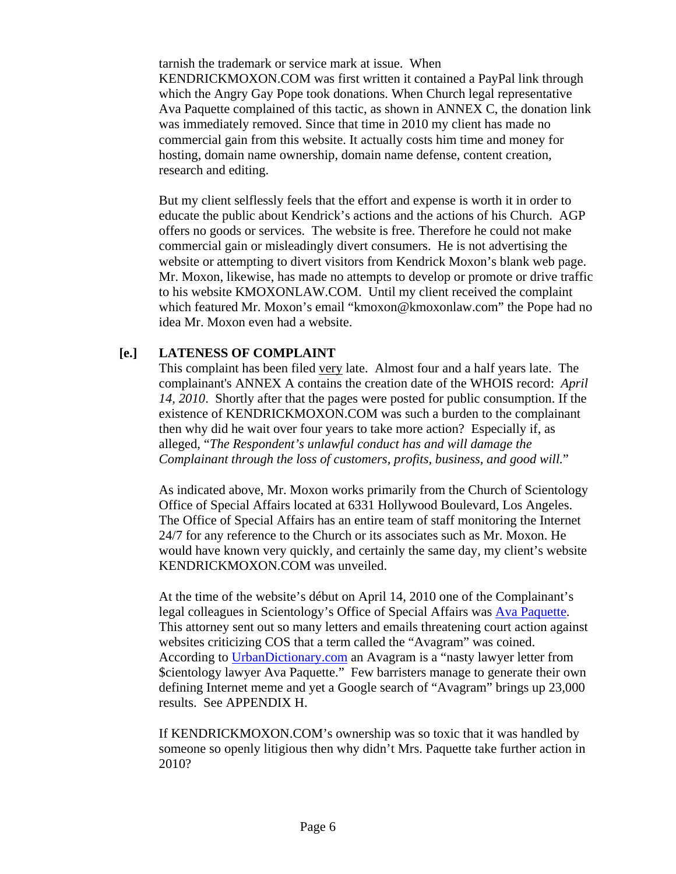tarnish the trademark or service mark at issue. When KENDRICKMOXON.COM was first written it contained a PayPal link through which the Angry Gay Pope took donations. When Church legal representative Ava Paquette complained of this tactic, as shown in ANNEX C, the donation link was immediately removed. Since that time in 2010 my client has made no commercial gain from this website. It actually costs him time and money for hosting, domain name ownership, domain name defense, content creation, research and editing.

 But my client selflessly feels that the effort and expense is worth it in order to educate the public about Kendrick's actions and the actions of his Church. AGP offers no goods or services. The website is free. Therefore he could not make commercial gain or misleadingly divert consumers. He is not advertising the website or attempting to divert visitors from Kendrick Moxon's blank web page. Mr. Moxon, likewise, has made no attempts to develop or promote or drive traffic to his website KMOXONLAW.COM. Until my client received the complaint which featured Mr. Moxon's email "kmoxon@kmoxonlaw.com" the Pope had no idea Mr. Moxon even had a website.

# **[e.] LATENESS OF COMPLAINT**

This complaint has been filed very late. Almost four and a half years late. The complainant's ANNEX A contains the creation date of the WHOIS record: *April 14, 2010*. Shortly after that the pages were posted for public consumption. If the existence of KENDRICKMOXON.COM was such a burden to the complainant then why did he wait over four years to take more action? Especially if, as alleged, "*The Respondent's unlawful conduct has and will damage the Complainant through the loss of customers, profits, business, and good will.*"

As indicated above, Mr. Moxon works primarily from the Church of Scientology Office of Special Affairs located at 6331 Hollywood Boulevard, Los Angeles. The Office of Special Affairs has an entire team of staff monitoring the Internet 24/7 for any reference to the Church or its associates such as Mr. Moxon. He would have known very quickly, and certainly the same day, my client's website KENDRICKMOXON.COM was unveiled.

 At the time of the website's début on April 14, 2010 one of the Complainant's legal colleagues in Scientology's Office of Special Affairs was Ava Paquette. This attorney sent out so many letters and emails threatening court action against websites criticizing COS that a term called the "Avagram" was coined. According to UrbanDictionary.com an Avagram is a "nasty lawyer letter from \$cientology lawyer Ava Paquette." Few barristers manage to generate their own defining Internet meme and yet a Google search of "Avagram" brings up 23,000 results. See APPENDIX H.

 If KENDRICKMOXON.COM's ownership was so toxic that it was handled by someone so openly litigious then why didn't Mrs. Paquette take further action in 2010?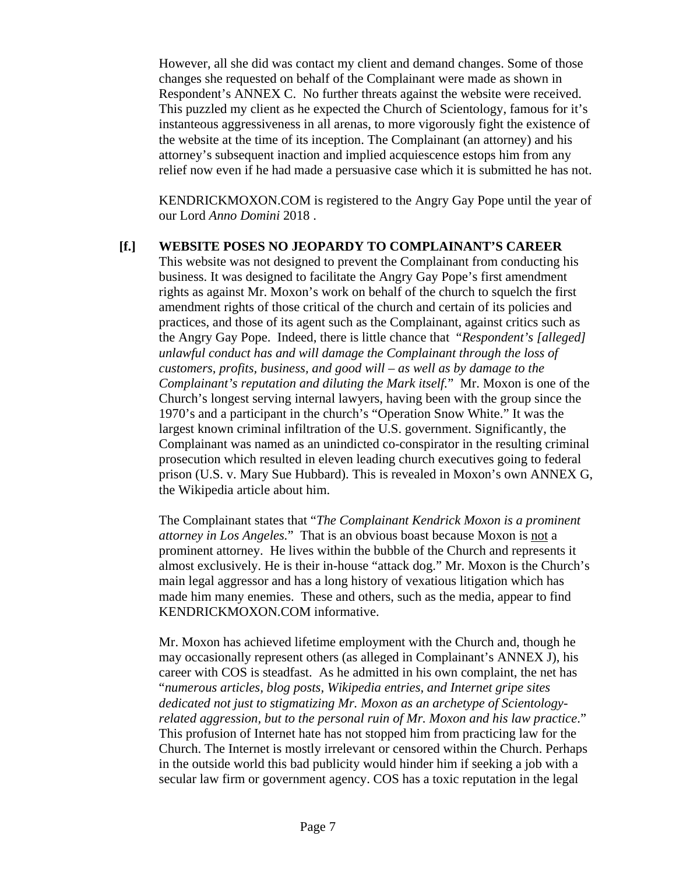However, all she did was contact my client and demand changes. Some of those changes she requested on behalf of the Complainant were made as shown in Respondent's ANNEX C. No further threats against the website were received. This puzzled my client as he expected the Church of Scientology, famous for it's instanteous aggressiveness in all arenas, to more vigorously fight the existence of the website at the time of its inception. The Complainant (an attorney) and his attorney's subsequent inaction and implied acquiescence estops him from any relief now even if he had made a persuasive case which it is submitted he has not.

 KENDRICKMOXON.COM is registered to the Angry Gay Pope until the year of our Lord *Anno Domini* 2018 .

#### **[f.] WEBSITE POSES NO JEOPARDY TO COMPLAINANT'S CAREER**

 This website was not designed to prevent the Complainant from conducting his business. It was designed to facilitate the Angry Gay Pope's first amendment rights as against Mr. Moxon's work on behalf of the church to squelch the first amendment rights of those critical of the church and certain of its policies and practices, and those of its agent such as the Complainant, against critics such as the Angry Gay Pope. Indeed, there is little chance that "*Respondent's [alleged] unlawful conduct has and will damage the Complainant through the loss of customers, profits, business, and good will – as well as by damage to the Complainant's reputation and diluting the Mark itself.*" Mr. Moxon is one of the Church's longest serving internal lawyers, having been with the group since the 1970's and a participant in the church's "Operation Snow White." It was the largest known criminal infiltration of the U.S. government. Significantly, the Complainant was named as an unindicted co-conspirator in the resulting criminal prosecution which resulted in eleven leading church executives going to federal prison (U.S. v. Mary Sue Hubbard). This is revealed in Moxon's own ANNEX G, the Wikipedia article about him.

 The Complainant states that "*The Complainant Kendrick Moxon is a prominent attorney in Los Angeles.*" That is an obvious boast because Moxon is not a prominent attorney. He lives within the bubble of the Church and represents it almost exclusively. He is their in-house "attack dog." Mr. Moxon is the Church's main legal aggressor and has a long history of vexatious litigation which has made him many enemies. These and others, such as the media, appear to find KENDRICKMOXON.COM informative.

 Mr. Moxon has achieved lifetime employment with the Church and, though he may occasionally represent others (as alleged in Complainant's ANNEX J), his career with COS is steadfast. As he admitted in his own complaint, the net has "*numerous articles, blog posts, Wikipedia entries, and Internet gripe sites dedicated not just to stigmatizing Mr. Moxon as an archetype of Scientologyrelated aggression, but to the personal ruin of Mr. Moxon and his law practice*." This profusion of Internet hate has not stopped him from practicing law for the Church. The Internet is mostly irrelevant or censored within the Church. Perhaps in the outside world this bad publicity would hinder him if seeking a job with a secular law firm or government agency. COS has a toxic reputation in the legal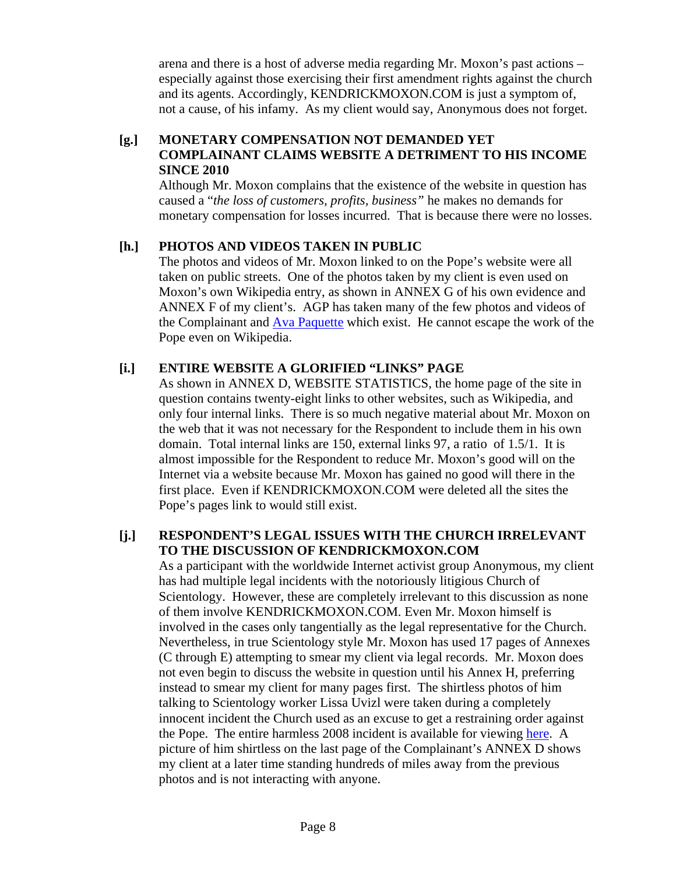arena and there is a host of adverse media regarding Mr. Moxon's past actions – especially against those exercising their first amendment rights against the church and its agents. Accordingly, KENDRICKMOXON.COM is just a symptom of, not a cause, of his infamy. As my client would say, Anonymous does not forget.

#### **[g.] MONETARY COMPENSATION NOT DEMANDED YET COMPLAINANT CLAIMS WEBSITE A DETRIMENT TO HIS INCOME SINCE 2010**

 Although Mr. Moxon complains that the existence of the website in question has caused a "*the loss of customers, profits, business"* he makes no demands for monetary compensation for losses incurred. That is because there were no losses.

# **[h.] PHOTOS AND VIDEOS TAKEN IN PUBLIC**

 The photos and videos of Mr. Moxon linked to on the Pope's website were all taken on public streets. One of the photos taken by my client is even used on Moxon's own Wikipedia entry, as shown in ANNEX G of his own evidence and ANNEX F of my client's. AGP has taken many of the few photos and videos of the Complainant and Ava Paquette which exist. He cannot escape the work of the Pope even on Wikipedia.

# **[i.] ENTIRE WEBSITE A GLORIFIED "LINKS" PAGE**

 As shown in ANNEX D, WEBSITE STATISTICS, the home page of the site in question contains twenty-eight links to other websites, such as Wikipedia, and only four internal links. There is so much negative material about Mr. Moxon on the web that it was not necessary for the Respondent to include them in his own domain. Total internal links are 150, external links 97, a ratio of 1.5/1. It is almost impossible for the Respondent to reduce Mr. Moxon's good will on the Internet via a website because Mr. Moxon has gained no good will there in the first place. Even if KENDRICKMOXON.COM were deleted all the sites the Pope's pages link to would still exist.

#### **[j.] RESPONDENT'S LEGAL ISSUES WITH THE CHURCH IRRELEVANT TO THE DISCUSSION OF KENDRICKMOXON.COM**

As a participant with the worldwide Internet activist group Anonymous, my client has had multiple legal incidents with the notoriously litigious Church of Scientology. However, these are completely irrelevant to this discussion as none of them involve KENDRICKMOXON.COM. Even Mr. Moxon himself is involved in the cases only tangentially as the legal representative for the Church. Nevertheless, in true Scientology style Mr. Moxon has used 17 pages of Annexes (C through E) attempting to smear my client via legal records. Mr. Moxon does not even begin to discuss the website in question until his Annex H, preferring instead to smear my client for many pages first. The shirtless photos of him talking to Scientology worker Lissa Uvizl were taken during a completely innocent incident the Church used as an excuse to get a restraining order against the Pope. The entire harmless 2008 incident is available for viewing here. A picture of him shirtless on the last page of the Complainant's ANNEX D shows my client at a later time standing hundreds of miles away from the previous photos and is not interacting with anyone.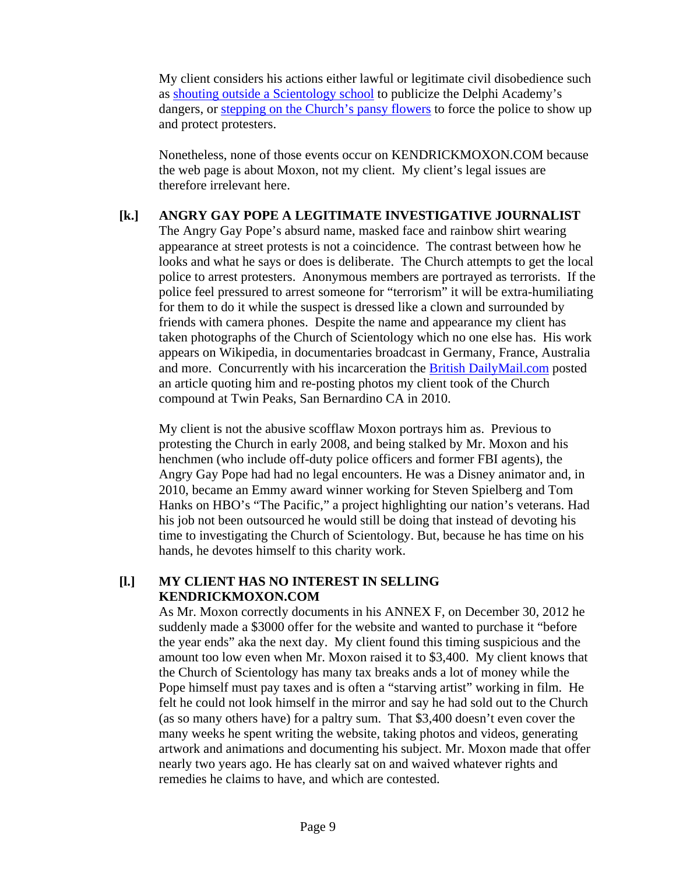My client considers his actions either lawful or legitimate civil disobedience such as shouting outside a Scientology school to publicize the Delphi Academy's dangers, or stepping on the Church's pansy flowers to force the police to show up and protect protesters.

Nonetheless, none of those events occur on KENDRICKMOXON.COM because the web page is about Moxon, not my client. My client's legal issues are therefore irrelevant here.

# **[k.] ANGRY GAY POPE A LEGITIMATE INVESTIGATIVE JOURNALIST**

 The Angry Gay Pope's absurd name, masked face and rainbow shirt wearing appearance at street protests is not a coincidence. The contrast between how he looks and what he says or does is deliberate. The Church attempts to get the local police to arrest protesters. Anonymous members are portrayed as terrorists. If the police feel pressured to arrest someone for "terrorism" it will be extra-humiliating for them to do it while the suspect is dressed like a clown and surrounded by friends with camera phones. Despite the name and appearance my client has taken photographs of the Church of Scientology which no one else has. His work appears on Wikipedia, in documentaries broadcast in Germany, France, Australia and more. Concurrently with his incarceration the **British DailyMail.com** posted an article quoting him and re-posting photos my client took of the Church compound at Twin Peaks, San Bernardino CA in 2010.

 My client is not the abusive scofflaw Moxon portrays him as. Previous to protesting the Church in early 2008, and being stalked by Mr. Moxon and his henchmen (who include off-duty police officers and former FBI agents), the Angry Gay Pope had had no legal encounters. He was a Disney animator and, in 2010, became an Emmy award winner working for Steven Spielberg and Tom Hanks on HBO's "The Pacific," a project highlighting our nation's veterans. Had his job not been outsourced he would still be doing that instead of devoting his time to investigating the Church of Scientology. But, because he has time on his hands, he devotes himself to this charity work.

#### **[l.] MY CLIENT HAS NO INTEREST IN SELLING KENDRICKMOXON.COM**

As Mr. Moxon correctly documents in his ANNEX F, on December 30, 2012 he suddenly made a \$3000 offer for the website and wanted to purchase it "before the year ends" aka the next day. My client found this timing suspicious and the amount too low even when Mr. Moxon raised it to \$3,400. My client knows that the Church of Scientology has many tax breaks ands a lot of money while the Pope himself must pay taxes and is often a "starving artist" working in film. He felt he could not look himself in the mirror and say he had sold out to the Church (as so many others have) for a paltry sum. That \$3,400 doesn't even cover the many weeks he spent writing the website, taking photos and videos, generating artwork and animations and documenting his subject. Mr. Moxon made that offer nearly two years ago. He has clearly sat on and waived whatever rights and remedies he claims to have, and which are contested.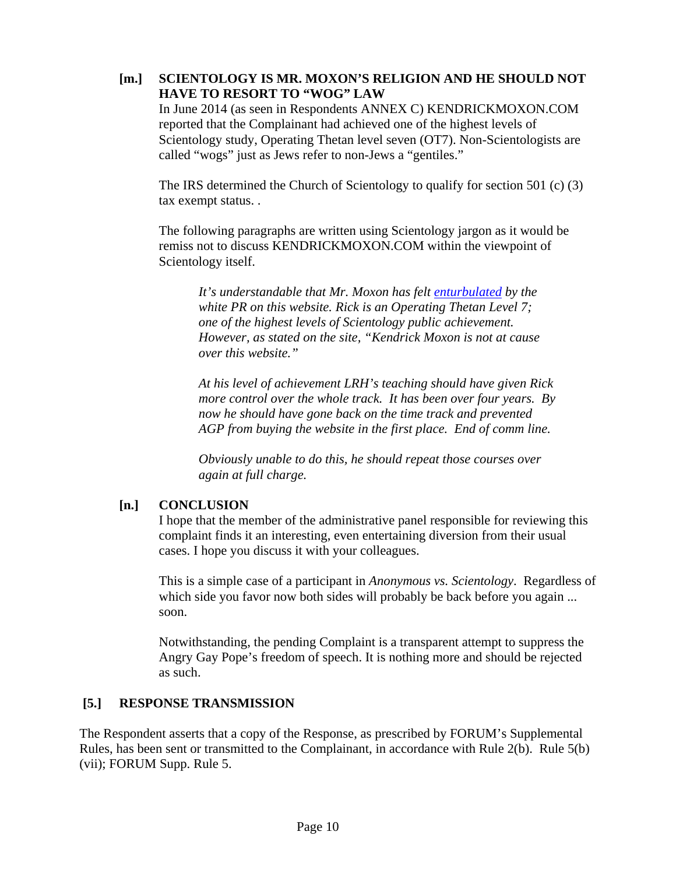#### **[m.] SCIENTOLOGY IS MR. MOXON'S RELIGION AND HE SHOULD NOT HAVE TO RESORT TO "WOG" LAW**

In June 2014 (as seen in Respondents ANNEX C) KENDRICKMOXON.COM reported that the Complainant had achieved one of the highest levels of Scientology study, Operating Thetan level seven (OT7). Non-Scientologists are called "wogs" just as Jews refer to non-Jews a "gentiles."

The IRS determined the Church of Scientology to qualify for section 501 (c) (3) tax exempt status. .

The following paragraphs are written using Scientology jargon as it would be remiss not to discuss KENDRICKMOXON.COM within the viewpoint of Scientology itself.

*It's understandable that Mr. Moxon has felt enturbulated by the white PR on this website. Rick is an Operating Thetan Level 7; one of the highest levels of Scientology public achievement. However, as stated on the site, "Kendrick Moxon is not at cause over this website."* 

*At his level of achievement LRH's teaching should have given Rick more control over the whole track. It has been over four years. By now he should have gone back on the time track and prevented AGP from buying the website in the first place. End of comm line.* 

*Obviously unable to do this, he should repeat those courses over again at full charge.* 

#### **[n.] CONCLUSION**

 I hope that the member of the administrative panel responsible for reviewing this complaint finds it an interesting, even entertaining diversion from their usual cases. I hope you discuss it with your colleagues.

 This is a simple case of a participant in *Anonymous vs. Scientology*. Regardless of which side you favor now both sides will probably be back before you again ... soon.

 Notwithstanding, the pending Complaint is a transparent attempt to suppress the Angry Gay Pope's freedom of speech. It is nothing more and should be rejected as such.

#### **[5.] RESPONSE TRANSMISSION**

The Respondent asserts that a copy of the Response, as prescribed by FORUM's Supplemental Rules, has been sent or transmitted to the Complainant, in accordance with Rule 2(b). Rule 5(b) (vii); FORUM Supp. Rule 5.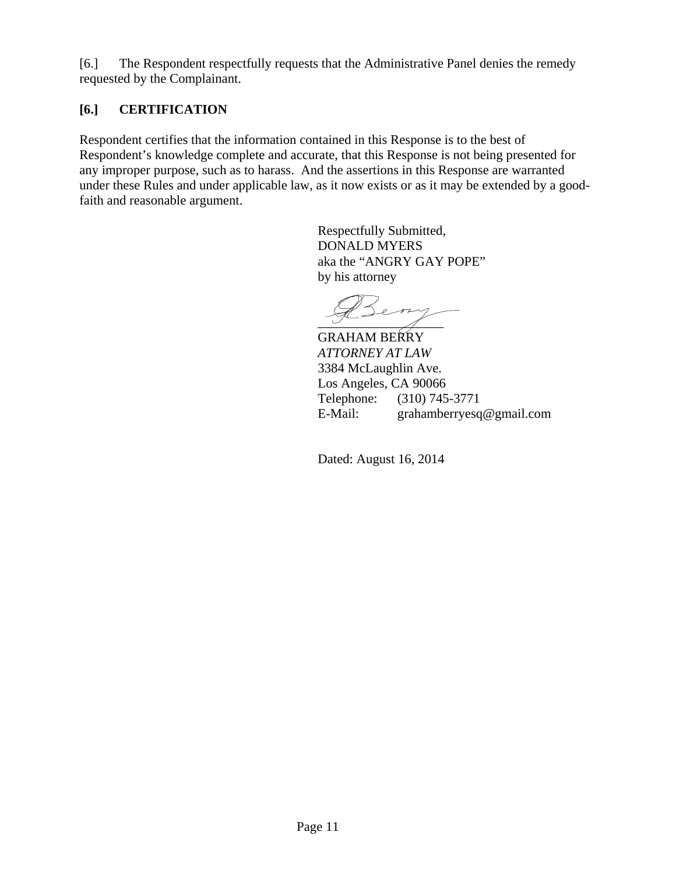[6.] The Respondent respectfully requests that the Administrative Panel denies the remedy requested by the Complainant.

# **[6.] CERTIFICATION**

Respondent certifies that the information contained in this Response is to the best of Respondent's knowledge complete and accurate, that this Response is not being presented for any improper purpose, such as to harass. And the assertions in this Response are warranted under these Rules and under applicable law, as it now exists or as it may be extended by a goodfaith and reasonable argument.

> Respectfully Submitted, DONALD MYERS aka the "ANGRY GAY POPE" by his attorney

 $\overline{\phantom{a}1}$ 

GRAHAM BERRY *ATTORNEY AT LAW*  3384 McLaughlin Ave. Los Angeles, CA 90066 Telephone: (310) 745-3771 E-Mail: grahamberryesq@gmail.com

Dated: August 16, 2014